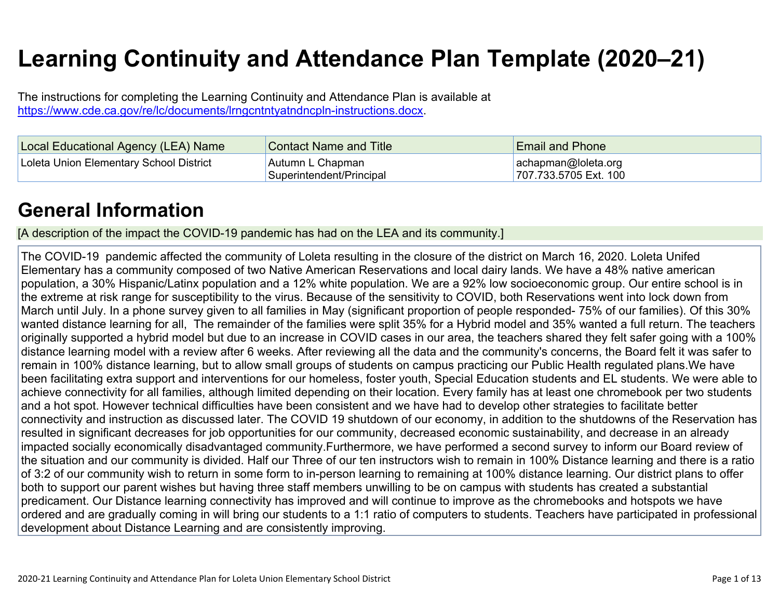# **Learning Continuity and Attendance Plan Template (2020–21)**

The instructions for completing the Learning Continuity and Attendance Plan is available at https://www.cde.ca.gov/re/lc/documents/lrngcntntyatndncpln-instructions.docx.

| Local Educational Agency (LEA) Name     | <b>Contact Name and Title</b>                | <b>Email and Phone</b>                            |
|-----------------------------------------|----------------------------------------------|---------------------------------------------------|
| Loleta Union Elementary School District | Autumn L Chapman<br>Superintendent/Principal | $ achapman@$ loleta.org<br>1707.733.5705 Ext. 100 |

### **General Information**

[A description of the impact the COVID-19 pandemic has had on the LEA and its community.]

The COVID-19 pandemic affected the community of Loleta resulting in the closure of the district on March 16, 2020. Loleta Unifed Elementary has a community composed of two Native American Reservations and local dairy lands. We have a 48% native american population, a 30% Hispanic/Latinx population and a 12% white population. We are a 92% low socioeconomic group. Our entire school is in the extreme at risk range for susceptibility to the virus. Because of the sensitivity to COVID, both Reservations went into lock down from March until July. In a phone survey given to all families in May (significant proportion of people responded- 75% of our families). Of this 30% wanted distance learning for all, The remainder of the families were split 35% for a Hybrid model and 35% wanted a full return. The teachers originally supported a hybrid model but due to an increase in COVID cases in our area, the teachers shared they felt safer going with a 100% distance learning model with a review after 6 weeks. After reviewing all the data and the community's concerns, the Board felt it was safer to remain in 100% distance learning, but to allow small groups of students on campus practicing our Public Health regulated plans.We have been facilitating extra support and interventions for our homeless, foster youth, Special Education students and EL students. We were able to achieve connectivity for all families, although limited depending on their location. Every family has at least one chromebook per two students and a hot spot. However technical difficulties have been consistent and we have had to develop other strategies to facilitate better connectivity and instruction as discussed later. The COVID 19 shutdown of our economy, in addition to the shutdowns of the Reservation has resulted in significant decreases for job opportunities for our community, decreased economic sustainability, and decrease in an already impacted socially economically disadvantaged community.Furthermore, we have performed a second survey to inform our Board review of the situation and our community is divided. Half our Three of our ten instructors wish to remain in 100% Distance learning and there is a ratio of 3:2 of our community wish to return in some form to in-person learning to remaining at 100% distance learning. Our district plans to offer both to support our parent wishes but having three staff members unwilling to be on campus with students has created a substantial predicament. Our Distance learning connectivity has improved and will continue to improve as the chromebooks and hotspots we have ordered and are gradually coming in will bring our students to a 1:1 ratio of computers to students. Teachers have participated in professional development about Distance Learning and are consistently improving.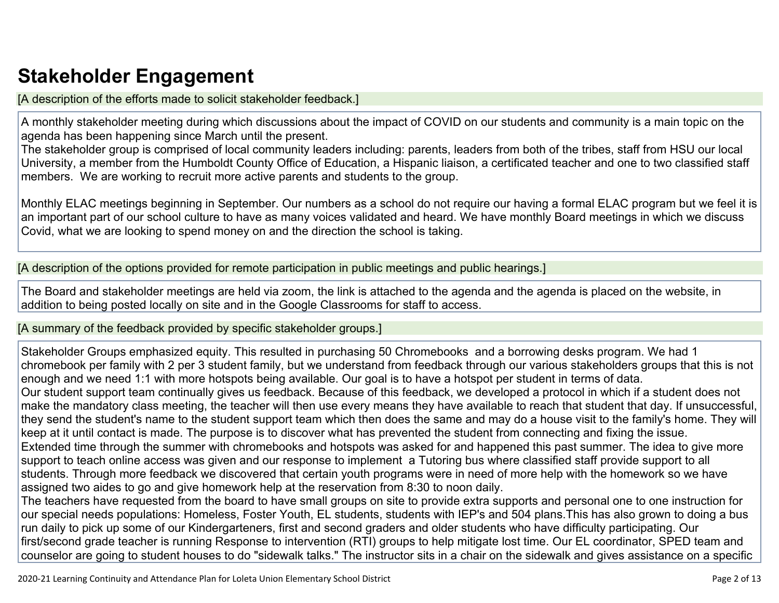## **Stakeholder Engagement**

[A description of the efforts made to solicit stakeholder feedback.]

A monthly stakeholder meeting during which discussions about the impact of COVID on our students and community is a main topic on the agenda has been happening since March until the present.

The stakeholder group is comprised of local community leaders including: parents, leaders from both of the tribes, staff from HSU our local University, a member from the Humboldt County Office of Education, a Hispanic liaison, a certificated teacher and one to two classified staff members. We are working to recruit more active parents and students to the group.

Monthly ELAC meetings beginning in September. Our numbers as a school do not require our having a formal ELAC program but we feel it is an important part of our school culture to have as many voices validated and heard. We have monthly Board meetings in which we discuss Covid, what we are looking to spend money on and the direction the school is taking.

[A description of the options provided for remote participation in public meetings and public hearings.]

The Board and stakeholder meetings are held via zoom, the link is attached to the agenda and the agenda is placed on the website, in addition to being posted locally on site and in the Google Classrooms for staff to access.

[A summary of the feedback provided by specific stakeholder groups.]

Stakeholder Groups emphasized equity. This resulted in purchasing 50 Chromebooks and a borrowing desks program. We had 1 chromebook per family with 2 per 3 student family, but we understand from feedback through our various stakeholders groups that this is not enough and we need 1:1 with more hotspots being available. Our goal is to have a hotspot per student in terms of data. Our student support team continually gives us feedback. Because of this feedback, we developed a protocol in which if a student does not make the mandatory class meeting, the teacher will then use every means they have available to reach that student that day. If unsuccessful, they send the student's name to the student support team which then does the same and may do a house visit to the family's home. They will keep at it until contact is made. The purpose is to discover what has prevented the student from connecting and fixing the issue. Extended time through the summer with chromebooks and hotspots was asked for and happened this past summer. The idea to give more support to teach online access was given and our response to implement a Tutoring bus where classified staff provide support to all students. Through more feedback we discovered that certain youth programs were in need of more help with the homework so we have assigned two aides to go and give homework help at the reservation from 8:30 to noon daily.

The teachers have requested from the board to have small groups on site to provide extra supports and personal one to one instruction for our special needs populations: Homeless, Foster Youth, EL students, students with IEP's and 504 plans.This has also grown to doing a bus run daily to pick up some of our Kindergarteners, first and second graders and older students who have difficulty participating. Our first/second grade teacher is running Response to intervention (RTI) groups to help mitigate lost time. Our EL coordinator, SPED team and counselor are going to student houses to do "sidewalk talks." The instructor sits in a chair on the sidewalk and gives assistance on a specific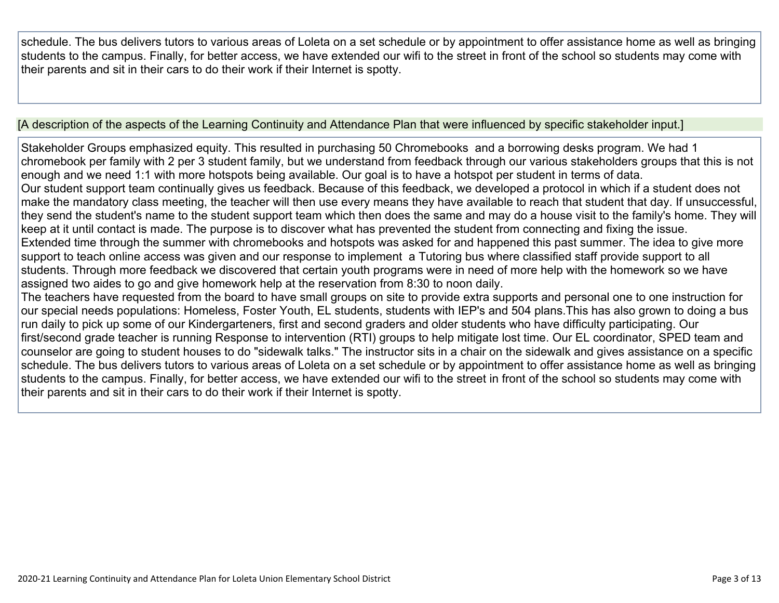schedule. The bus delivers tutors to various areas of Loleta on a set schedule or by appointment to offer assistance home as well as bringing students to the campus. Finally, for better access, we have extended our wifi to the street in front of the school so students may come with their parents and sit in their cars to do their work if their Internet is spotty.

[A description of the aspects of the Learning Continuity and Attendance Plan that were influenced by specific stakeholder input.]

Stakeholder Groups emphasized equity. This resulted in purchasing 50 Chromebooks and a borrowing desks program. We had 1 chromebook per family with 2 per 3 student family, but we understand from feedback through our various stakeholders groups that this is not enough and we need 1:1 with more hotspots being available. Our goal is to have a hotspot per student in terms of data. Our student support team continually gives us feedback. Because of this feedback, we developed a protocol in which if a student does not make the mandatory class meeting, the teacher will then use every means they have available to reach that student that day. If unsuccessful, they send the student's name to the student support team which then does the same and may do a house visit to the family's home. They will keep at it until contact is made. The purpose is to discover what has prevented the student from connecting and fixing the issue. Extended time through the summer with chromebooks and hotspots was asked for and happened this past summer. The idea to give more support to teach online access was given and our response to implement a Tutoring bus where classified staff provide support to all students. Through more feedback we discovered that certain youth programs were in need of more help with the homework so we have assigned two aides to go and give homework help at the reservation from 8:30 to noon daily. The teachers have requested from the board to have small groups on site to provide extra supports and personal one to one instruction for our special needs populations: Homeless, Foster Youth, EL students, students with IEP's and 504 plans.This has also grown to doing a bus run daily to pick up some of our Kindergarteners, first and second graders and older students who have difficulty participating. Our first/second grade teacher is running Response to intervention (RTI) groups to help mitigate lost time. Our EL coordinator, SPED team and

counselor are going to student houses to do "sidewalk talks." The instructor sits in a chair on the sidewalk and gives assistance on a specific schedule. The bus delivers tutors to various areas of Loleta on a set schedule or by appointment to offer assistance home as well as bringing students to the campus. Finally, for better access, we have extended our wifi to the street in front of the school so students may come with their parents and sit in their cars to do their work if their Internet is spotty.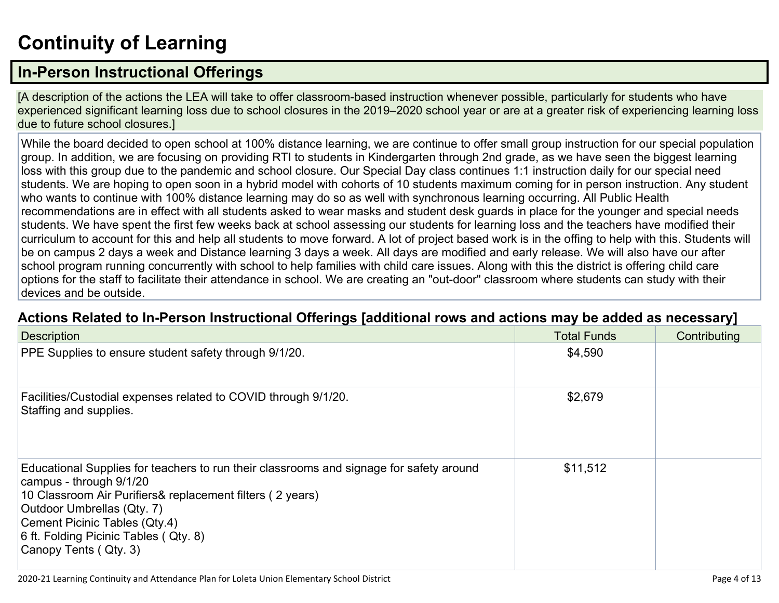## **Continuity of Learning**

### **In-Person Instructional Offerings**

[A description of the actions the LEA will take to offer classroom-based instruction whenever possible, particularly for students who have experienced significant learning loss due to school closures in the 2019–2020 school year or are at a greater risk of experiencing learning loss due to future school closures.]

While the board decided to open school at 100% distance learning, we are continue to offer small group instruction for our special population group. In addition, we are focusing on providing RTI to students in Kindergarten through 2nd grade, as we have seen the biggest learning loss with this group due to the pandemic and school closure. Our Special Day class continues 1:1 instruction daily for our special need students. We are hoping to open soon in a hybrid model with cohorts of 10 students maximum coming for in person instruction. Any student who wants to continue with 100% distance learning may do so as well with synchronous learning occurring. All Public Health recommendations are in effect with all students asked to wear masks and student desk guards in place for the younger and special needs students. We have spent the first few weeks back at school assessing our students for learning loss and the teachers have modified their curriculum to account for this and help all students to move forward. A lot of project based work is in the offing to help with this. Students will be on campus 2 days a week and Distance learning 3 days a week. All days are modified and early release. We will also have our after school program running concurrently with school to help families with child care issues. Along with this the district is offering child care options for the staff to facilitate their attendance in school. We are creating an "out-door" classroom where students can study with their devices and be outside.

#### **Actions Related to In-Person Instructional Offerings [additional rows and actions may be added as necessary]**

| <b>Description</b>                                                                                                                                                                                                                                                                                               | <b>Total Funds</b> | Contributing |
|------------------------------------------------------------------------------------------------------------------------------------------------------------------------------------------------------------------------------------------------------------------------------------------------------------------|--------------------|--------------|
| PPE Supplies to ensure student safety through 9/1/20.                                                                                                                                                                                                                                                            | \$4,590            |              |
| Facilities/Custodial expenses related to COVID through 9/1/20.<br>Staffing and supplies.                                                                                                                                                                                                                         | \$2,679            |              |
| Educational Supplies for teachers to run their classrooms and signage for safety around<br>campus - through 9/1/20<br>10 Classroom Air Purifiers& replacement filters (2 years)<br>Outdoor Umbrellas (Qty. 7)<br>Cement Picinic Tables (Qty.4)<br>6 ft. Folding Picinic Tables (Qty. 8)<br>Canopy Tents (Qty. 3) | \$11,512           |              |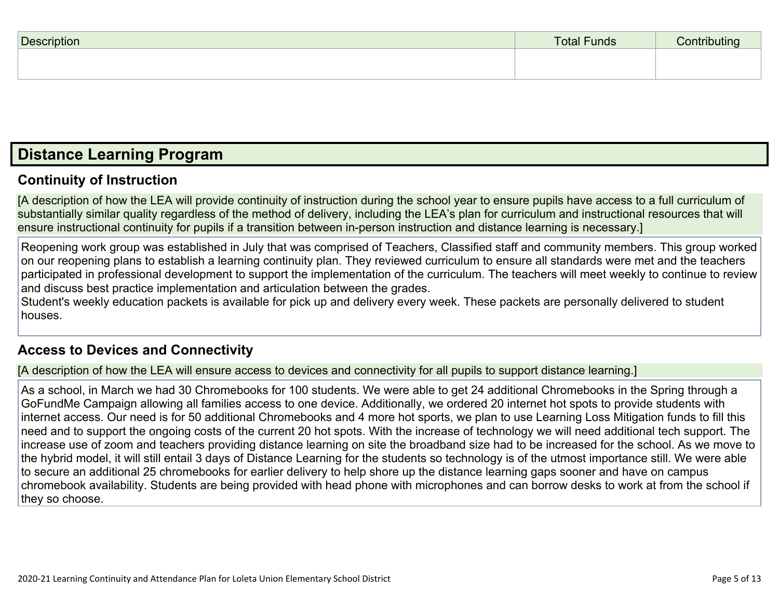| <b>Description</b> | <b>Total Funds</b> | Contributing<br>$\check{ }$ |
|--------------------|--------------------|-----------------------------|
|                    |                    |                             |
|                    |                    |                             |

### **Distance Learning Program**

#### **Continuity of Instruction**

[A description of how the LEA will provide continuity of instruction during the school year to ensure pupils have access to a full curriculum of substantially similar quality regardless of the method of delivery, including the LEA's plan for curriculum and instructional resources that will ensure instructional continuity for pupils if a transition between in-person instruction and distance learning is necessary.]

Reopening work group was established in July that was comprised of Teachers, Classified staff and community members. This group worked on our reopening plans to establish a learning continuity plan. They reviewed curriculum to ensure all standards were met and the teachers participated in professional development to support the implementation of the curriculum. The teachers will meet weekly to continue to review and discuss best practice implementation and articulation between the grades.

Student's weekly education packets is available for pick up and delivery every week. These packets are personally delivered to student houses.

#### **Access to Devices and Connectivity**

[A description of how the LEA will ensure access to devices and connectivity for all pupils to support distance learning.]

As a school, in March we had 30 Chromebooks for 100 students. We were able to get 24 additional Chromebooks in the Spring through a GoFundMe Campaign allowing all families access to one device. Additionally, we ordered 20 internet hot spots to provide students with internet access. Our need is for 50 additional Chromebooks and 4 more hot sports, we plan to use Learning Loss Mitigation funds to fill this need and to support the ongoing costs of the current 20 hot spots. With the increase of technology we will need additional tech support. The increase use of zoom and teachers providing distance learning on site the broadband size had to be increased for the school. As we move to the hybrid model, it will still entail 3 days of Distance Learning for the students so technology is of the utmost importance still. We were able to secure an additional 25 chromebooks for earlier delivery to help shore up the distance learning gaps sooner and have on campus chromebook availability. Students are being provided with head phone with microphones and can borrow desks to work at from the school if they so choose.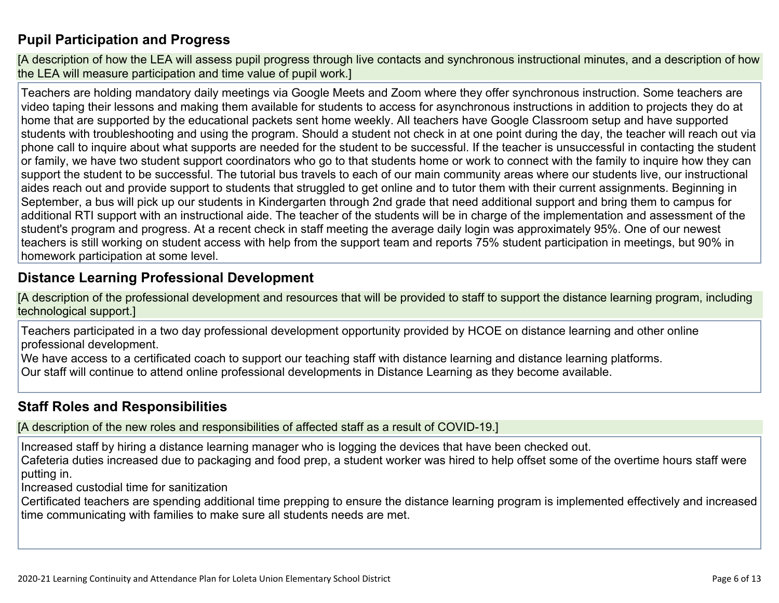### **Pupil Participation and Progress**

[A description of how the LEA will assess pupil progress through live contacts and synchronous instructional minutes, and a description of how the LEA will measure participation and time value of pupil work.]

Teachers are holding mandatory daily meetings via Google Meets and Zoom where they offer synchronous instruction. Some teachers are video taping their lessons and making them available for students to access for asynchronous instructions in addition to projects they do at home that are supported by the educational packets sent home weekly. All teachers have Google Classroom setup and have supported students with troubleshooting and using the program. Should a student not check in at one point during the day, the teacher will reach out via phone call to inquire about what supports are needed for the student to be successful. If the teacher is unsuccessful in contacting the student or family, we have two student support coordinators who go to that students home or work to connect with the family to inquire how they can support the student to be successful. The tutorial bus travels to each of our main community areas where our students live, our instructional aides reach out and provide support to students that struggled to get online and to tutor them with their current assignments. Beginning in September, a bus will pick up our students in Kindergarten through 2nd grade that need additional support and bring them to campus for additional RTI support with an instructional aide. The teacher of the students will be in charge of the implementation and assessment of the student's program and progress. At a recent check in staff meeting the average daily login was approximately 95%. One of our newest teachers is still working on student access with help from the support team and reports 75% student participation in meetings, but 90% in homework participation at some level.

#### **Distance Learning Professional Development**

[A description of the professional development and resources that will be provided to staff to support the distance learning program, including technological support.]

Teachers participated in a two day professional development opportunity provided by HCOE on distance learning and other online professional development.

We have access to a certificated coach to support our teaching staff with distance learning and distance learning platforms. Our staff will continue to attend online professional developments in Distance Learning as they become available.

#### **Staff Roles and Responsibilities**

[A description of the new roles and responsibilities of affected staff as a result of COVID-19.]

Increased staff by hiring a distance learning manager who is logging the devices that have been checked out. Cafeteria duties increased due to packaging and food prep, a student worker was hired to help offset some of the overtime hours staff were putting in.

Increased custodial time for sanitization

Certificated teachers are spending additional time prepping to ensure the distance learning program is implemented effectively and increased time communicating with families to make sure all students needs are met.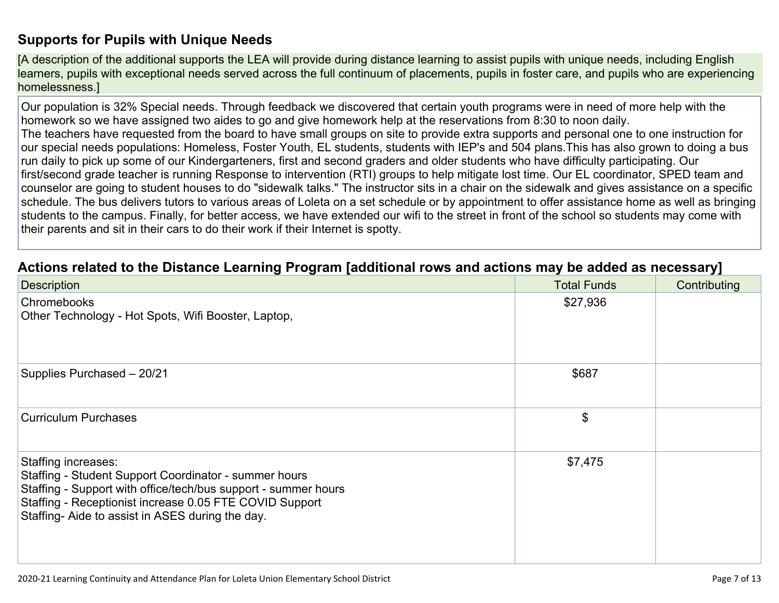#### **Supports for Pupils with Unique Needs**

[A description of the additional supports the LEA will provide during distance learning to assist pupils with unique needs, including English learners, pupils with exceptional needs served across the full continuum of placements, pupils in foster care, and pupils who are experiencing homelessness.]

Our population is 32% Special needs. Through feedback we discovered that certain youth programs were in need of more help with the homework so we have assigned two aides to go and give homework help at the reservations from 8:30 to noon daily. The teachers have requested from the board to have small groups on site to provide extra supports and personal one to one instruction for our special needs populations: Homeless, Foster Youth, EL students, students with IEP's and 504 plans.This has also grown to doing a bus run daily to pick up some of our Kindergarteners, first and second graders and older students who have difficulty participating. Our first/second grade teacher is running Response to intervention (RTI) groups to help mitigate lost time. Our EL coordinator, SPED team and counselor are going to student houses to do "sidewalk talks." The instructor sits in a chair on the sidewalk and gives assistance on a specific schedule. The bus delivers tutors to various areas of Loleta on a set schedule or by appointment to offer assistance home as well as bringing students to the campus. Finally, for better access, we have extended our wifi to the street in front of the school so students may come with their parents and sit in their cars to do their work if their Internet is spotty.

#### **Actions related to the Distance Learning Program [additional rows and actions may be added as necessary]**

| <b>Description</b>                                                                                                                                                                                                                                           | <b>Total Funds</b> | Contributing |
|--------------------------------------------------------------------------------------------------------------------------------------------------------------------------------------------------------------------------------------------------------------|--------------------|--------------|
| Chromebooks<br>Other Technology - Hot Spots, Wifi Booster, Laptop,                                                                                                                                                                                           | \$27,936           |              |
| Supplies Purchased - 20/21                                                                                                                                                                                                                                   | \$687              |              |
| <b>Curriculum Purchases</b>                                                                                                                                                                                                                                  | \$                 |              |
| Staffing increases:<br>Staffing - Student Support Coordinator - summer hours<br>Staffing - Support with office/tech/bus support - summer hours<br>Staffing - Receptionist increase 0.05 FTE COVID Support<br>Staffing-Aide to assist in ASES during the day. | \$7,475            |              |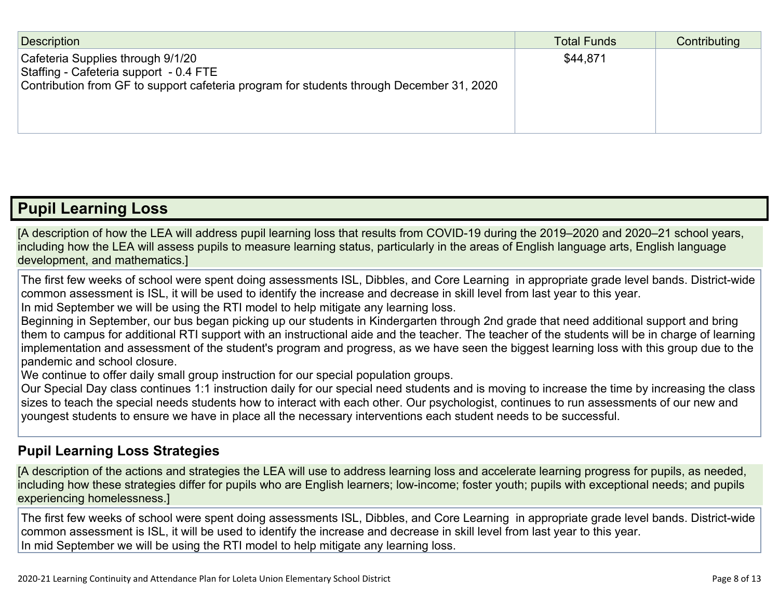| Description                                                                                                                                                             | <b>Total Funds</b> | Contributing |
|-------------------------------------------------------------------------------------------------------------------------------------------------------------------------|--------------------|--------------|
| Cafeteria Supplies through 9/1/20<br>Staffing - Cafeteria support - 0.4 FTE<br>Contribution from GF to support cafeteria program for students through December 31, 2020 | \$44,871           |              |

### **Pupil Learning Loss**

[A description of how the LEA will address pupil learning loss that results from COVID-19 during the 2019–2020 and 2020–21 school years, including how the LEA will assess pupils to measure learning status, particularly in the areas of English language arts, English language development, and mathematics.]

The first few weeks of school were spent doing assessments ISL, Dibbles, and Core Learning in appropriate grade level bands. District-wide common assessment is ISL, it will be used to identify the increase and decrease in skill level from last year to this year.

In mid September we will be using the RTI model to help mitigate any learning loss.

Beginning in September, our bus began picking up our students in Kindergarten through 2nd grade that need additional support and bring them to campus for additional RTI support with an instructional aide and the teacher. The teacher of the students will be in charge of learning implementation and assessment of the student's program and progress, as we have seen the biggest learning loss with this group due to the pandemic and school closure.

We continue to offer daily small group instruction for our special population groups.

Our Special Day class continues 1:1 instruction daily for our special need students and is moving to increase the time by increasing the class sizes to teach the special needs students how to interact with each other. Our psychologist, continues to run assessments of our new and youngest students to ensure we have in place all the necessary interventions each student needs to be successful.

#### **Pupil Learning Loss Strategies**

[A description of the actions and strategies the LEA will use to address learning loss and accelerate learning progress for pupils, as needed, including how these strategies differ for pupils who are English learners; low-income; foster youth; pupils with exceptional needs; and pupils experiencing homelessness.]

The first few weeks of school were spent doing assessments ISL, Dibbles, and Core Learning in appropriate grade level bands. District-wide common assessment is ISL, it will be used to identify the increase and decrease in skill level from last year to this year. In mid September we will be using the RTI model to help mitigate any learning loss.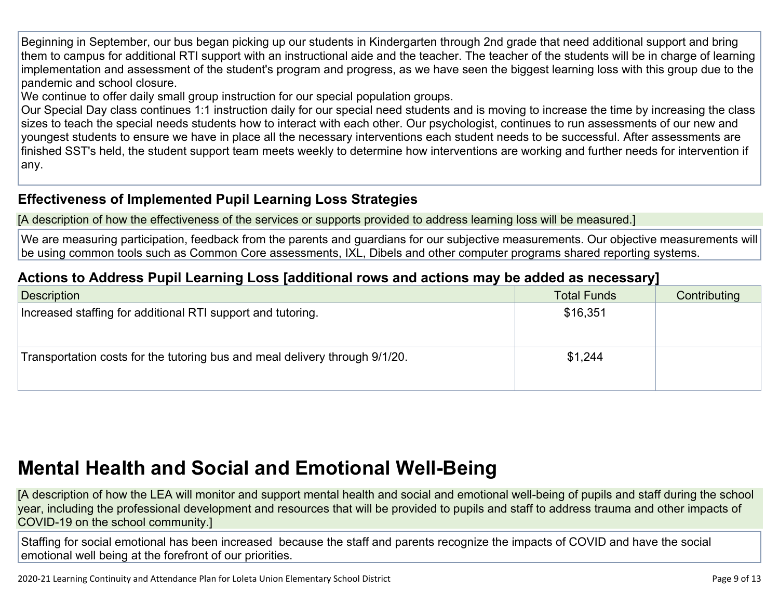Beginning in September, our bus began picking up our students in Kindergarten through 2nd grade that need additional support and bring them to campus for additional RTI support with an instructional aide and the teacher. The teacher of the students will be in charge of learning implementation and assessment of the student's program and progress, as we have seen the biggest learning loss with this group due to the pandemic and school closure.

We continue to offer daily small group instruction for our special population groups.

Our Special Day class continues 1:1 instruction daily for our special need students and is moving to increase the time by increasing the class sizes to teach the special needs students how to interact with each other. Our psychologist, continues to run assessments of our new and youngest students to ensure we have in place all the necessary interventions each student needs to be successful. After assessments are finished SST's held, the student support team meets weekly to determine how interventions are working and further needs for intervention if any.

#### **Effectiveness of Implemented Pupil Learning Loss Strategies**

[A description of how the effectiveness of the services or supports provided to address learning loss will be measured.]

We are measuring participation, feedback from the parents and guardians for our subjective measurements. Our objective measurements will be using common tools such as Common Core assessments, IXL, Dibels and other computer programs shared reporting systems.

### **Actions to Address Pupil Learning Loss [additional rows and actions may be added as necessary]**

| Description                                                                 | <b>Total Funds</b> | Contributing |
|-----------------------------------------------------------------------------|--------------------|--------------|
| Increased staffing for additional RTI support and tutoring.                 | \$16,351           |              |
| Transportation costs for the tutoring bus and meal delivery through 9/1/20. | \$1,244            |              |

## **Mental Health and Social and Emotional Well-Being**

[A description of how the LEA will monitor and support mental health and social and emotional well-being of pupils and staff during the school year, including the professional development and resources that will be provided to pupils and staff to address trauma and other impacts of COVID-19 on the school community.]

Staffing for social emotional has been increased because the staff and parents recognize the impacts of COVID and have the social emotional well being at the forefront of our priorities.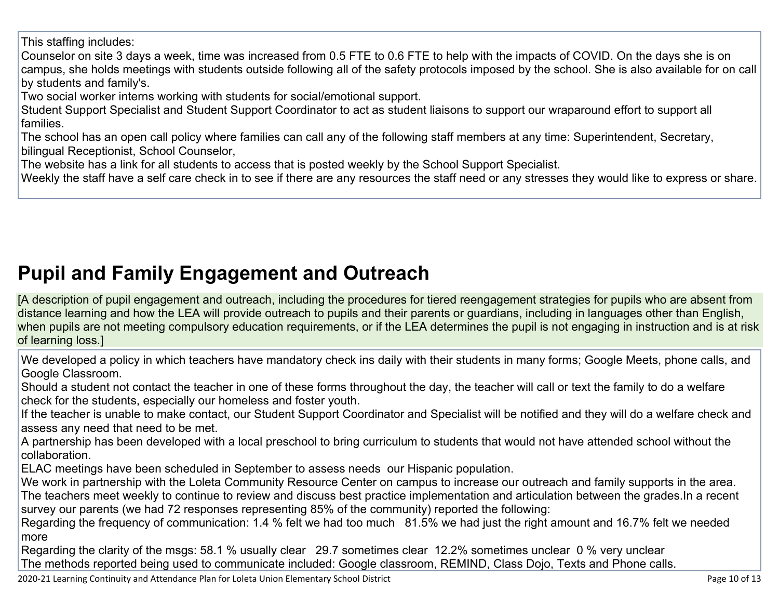This staffing includes:

Counselor on site 3 days a week, time was increased from 0.5 FTE to 0.6 FTE to help with the impacts of COVID. On the days she is on campus, she holds meetings with students outside following all of the safety protocols imposed by the school. She is also available for on call by students and family's.

Two social worker interns working with students for social/emotional support.

Student Support Specialist and Student Support Coordinator to act as student liaisons to support our wraparound effort to support all families.

The school has an open call policy where families can call any of the following staff members at any time: Superintendent, Secretary, bilingual Receptionist, School Counselor,

The website has a link for all students to access that is posted weekly by the School Support Specialist.

Weekly the staff have a self care check in to see if there are any resources the staff need or any stresses they would like to express or share.

## **Pupil and Family Engagement and Outreach**

[A description of pupil engagement and outreach, including the procedures for tiered reengagement strategies for pupils who are absent from distance learning and how the LEA will provide outreach to pupils and their parents or guardians, including in languages other than English, when pupils are not meeting compulsory education requirements, or if the LEA determines the pupil is not engaging in instruction and is at risk of learning loss.]

We developed a policy in which teachers have mandatory check ins daily with their students in many forms; Google Meets, phone calls, and Google Classroom.

Should a student not contact the teacher in one of these forms throughout the day, the teacher will call or text the family to do a welfare check for the students, especially our homeless and foster youth.

If the teacher is unable to make contact, our Student Support Coordinator and Specialist will be notified and they will do a welfare check and assess any need that need to be met.

A partnership has been developed with a local preschool to bring curriculum to students that would not have attended school without the collaboration.

ELAC meetings have been scheduled in September to assess needs our Hispanic population.

We work in partnership with the Loleta Community Resource Center on campus to increase our outreach and family supports in the area. The teachers meet weekly to continue to review and discuss best practice implementation and articulation between the grades.In a recent survey our parents (we had 72 responses representing 85% of the community) reported the following:

Regarding the frequency of communication: 1.4 % felt we had too much 81.5% we had just the right amount and 16.7% felt we needed more

Regarding the clarity of the msgs: 58.1 % usually clear 29.7 sometimes clear 12.2% sometimes unclear 0 % very unclear The methods reported being used to communicate included: Google classroom, REMIND, Class Dojo, Texts and Phone calls.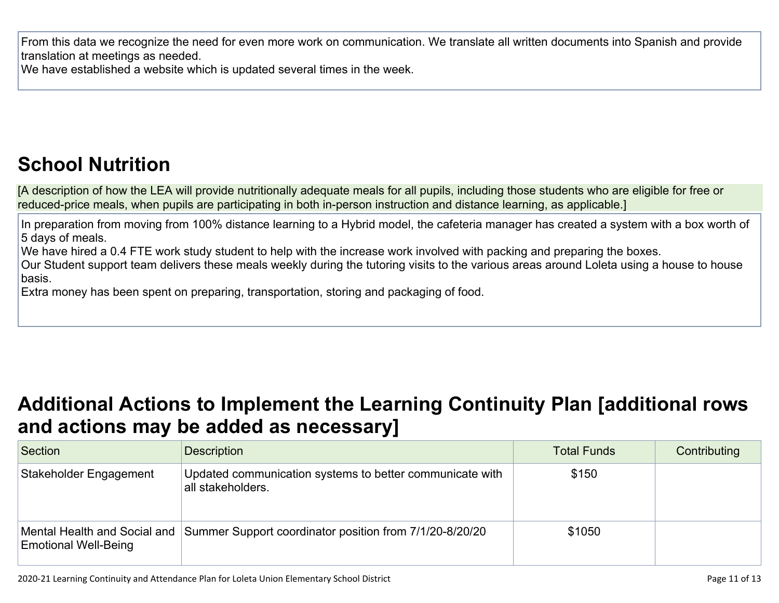From this data we recognize the need for even more work on communication. We translate all written documents into Spanish and provide translation at meetings as needed.

We have established a website which is updated several times in the week.

## **School Nutrition**

[A description of how the LEA will provide nutritionally adequate meals for all pupils, including those students who are eligible for free or reduced-price meals, when pupils are participating in both in-person instruction and distance learning, as applicable.]

In preparation from moving from 100% distance learning to a Hybrid model, the cafeteria manager has created a system with a box worth of 5 days of meals.

We have hired a 0.4 FTE work study student to help with the increase work involved with packing and preparing the boxes.

Our Student support team delivers these meals weekly during the tutoring visits to the various areas around Loleta using a house to house basis.

Extra money has been spent on preparing, transportation, storing and packaging of food.

## **Additional Actions to Implement the Learning Continuity Plan [additional rows and actions may be added as necessary]**

| Section                                                     | <b>Description</b>                                                            | <b>Total Funds</b> | Contributing |
|-------------------------------------------------------------|-------------------------------------------------------------------------------|--------------------|--------------|
| Stakeholder Engagement                                      | Updated communication systems to better communicate with<br>all stakeholders. | \$150              |              |
| Mental Health and Social and<br><b>Emotional Well-Being</b> | Summer Support coordinator position from 7/1/20-8/20/20                       | \$1050             |              |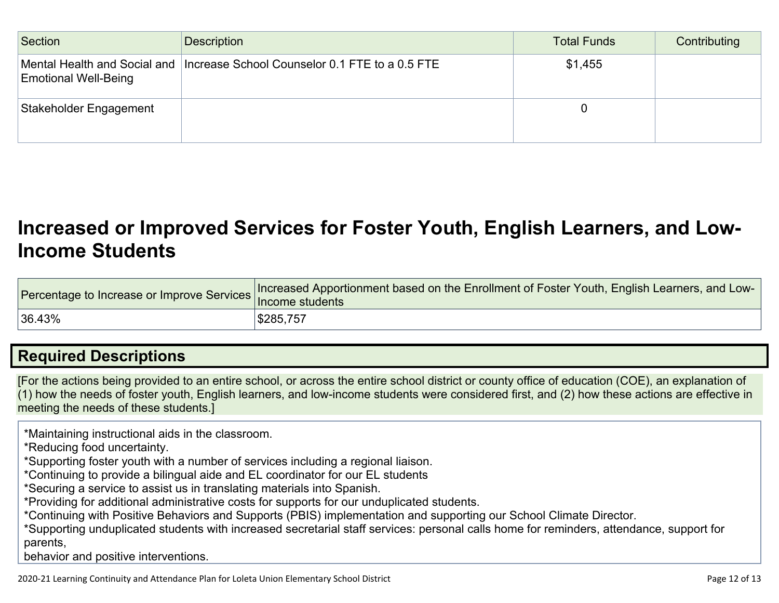| Section                                                     | Description                                    | <b>Total Funds</b> | Contributing |
|-------------------------------------------------------------|------------------------------------------------|--------------------|--------------|
| Mental Health and Social and<br><b>Emotional Well-Being</b> | Increase School Counselor 0.1 FTE to a 0.5 FTE | \$1,455            |              |
| Stakeholder Engagement                                      |                                                |                    |              |

### **Increased or Improved Services for Foster Youth, English Learners, and Low-Income Students**

| Percentage to Increase or Improve Services   Income students | Increased Apportionment based on the Enrollment of Foster Youth, English Learners, and Low- |
|--------------------------------------------------------------|---------------------------------------------------------------------------------------------|
| $ 36.43\%$                                                   | S285,757                                                                                    |

### **Required Descriptions**

[For the actions being provided to an entire school, or across the entire school district or county office of education (COE), an explanation of (1) how the needs of foster youth, English learners, and low-income students were considered first, and (2) how these actions are effective in meeting the needs of these students.]

\*Maintaining instructional aids in the classroom.

\*Reducing food uncertainty.

\*Supporting foster youth with a number of services including a regional liaison.

\*Continuing to provide a bilingual aide and EL coordinator for our EL students

\*Securing a service to assist us in translating materials into Spanish.

\*Providing for additional administrative costs for supports for our unduplicated students.

\*Continuing with Positive Behaviors and Supports (PBIS) implementation and supporting our School Climate Director.

\*Supporting unduplicated students with increased secretarial staff services: personal calls home for reminders, attendance, support for parents,

behavior and positive interventions.